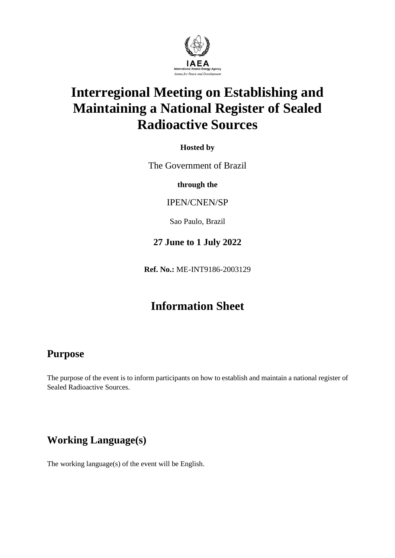

# **Interregional Meeting on Establishing and Maintaining a National Register of Sealed Radioactive Sources**

**Hosted by**

The Government of Brazil

**through the**

IPEN/CNEN/SP

Sao Paulo, Brazil

#### **27 June to 1 July 2022**

**Ref. No.:** ME-INT9186-2003129

# **Information Sheet**

#### **Purpose**

The purpose of the event is to inform participants on how to establish and maintain a national register of Sealed Radioactive Sources.

# **Working Language(s)**

The working language(s) of the event will be English.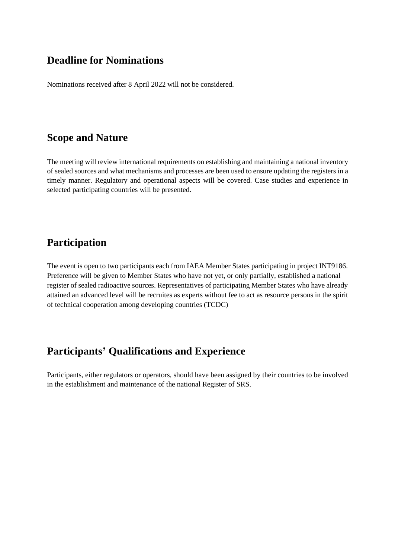#### **Deadline for Nominations**

Nominations received after 8 April 2022 will not be considered.

#### **Scope and Nature**

The meeting will review international requirements on establishing and maintaining a national inventory of sealed sources and what mechanisms and processes are been used to ensure updating the registers in a timely manner. Regulatory and operational aspects will be covered. Case studies and experience in selected participating countries will be presented.

#### **Participation**

The event is open to two participants each from IAEA Member States participating in project INT9186. Preference will be given to Member States who have not yet, or only partially, established a national register of sealed radioactive sources. Representatives of participating Member States who have already attained an advanced level will be recruites as experts without fee to act as resource persons in the spirit of technical cooperation among developing countries (TCDC)

# **Participants' Qualifications and Experience**

Participants, either regulators or operators, should have been assigned by their countries to be involved in the establishment and maintenance of the national Register of SRS.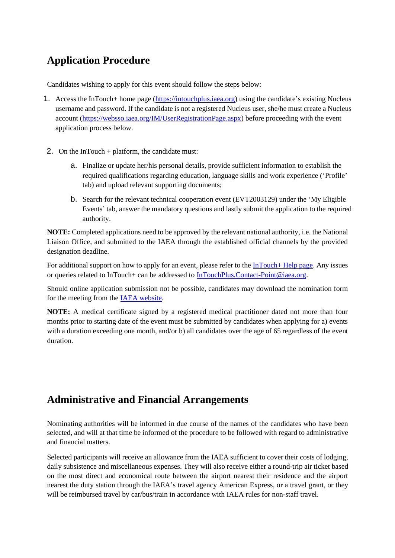# **Application Procedure**

Candidates wishing to apply for this event should follow the steps below:

- 1. Access the InTouch+ home page [\(https://intouchplus.iaea.org\)](https://intouchplus.iaea.org/) using the candidate's existing Nucleus username and password. If the candidate is not a registered Nucleus user, she/he must create a Nucleus account [\(https://websso.iaea.org/IM/UserRegistrationPage.aspx\)](https://websso.iaea.org/IM/UserRegistrationPage.aspx) before proceeding with the event application process below.
- 2. On the InTouch + platform, the candidate must:
	- a. Finalize or update her/his personal details, provide sufficient information to establish the required qualifications regarding education, language skills and work experience ('Profile' tab) and upload relevant supporting documents;
	- b. Search for the relevant technical cooperation event (EVT2003129) under the 'My Eligible Events' tab, answer the mandatory questions and lastly submit the application to the required authority.

**NOTE:** Completed applications need to be approved by the relevant national authority, i.e. the National Liaison Office, and submitted to the IAEA through the established official channels by the provided designation deadline.

For additional support on how to apply for an event, please refer to the  $InTouch + Help$  page. Any issues or queries related to InTouch+ can be addressed to [InTouchPlus.Contact-Point@iaea.org.](mailto:InTouchPlus.Contact-Point@iaea.org)

Should online application submission not be possible, candidates may download the nomination form for the meeting from the [IAEA website.](https://www.iaea.org/services/technical-cooperation-programme/how-to-participate)

**NOTE:** A medical certificate signed by a registered medical practitioner dated not more than four months prior to starting date of the event must be submitted by candidates when applying for a) events with a duration exceeding one month, and/or b) all candidates over the age of 65 regardless of the event duration.

# **Administrative and Financial Arrangements**

Nominating authorities will be informed in due course of the names of the candidates who have been selected, and will at that time be informed of the procedure to be followed with regard to administrative and financial matters.

Selected participants will receive an allowance from the IAEA sufficient to cover their costs of lodging, daily subsistence and miscellaneous expenses. They will also receive either a round-trip air ticket based on the most direct and economical route between the airport nearest their residence and the airport nearest the duty station through the IAEA's travel agency American Express, or a travel grant, or they will be reimbursed travel by car/bus/train in accordance with IAEA rules for non-staff travel.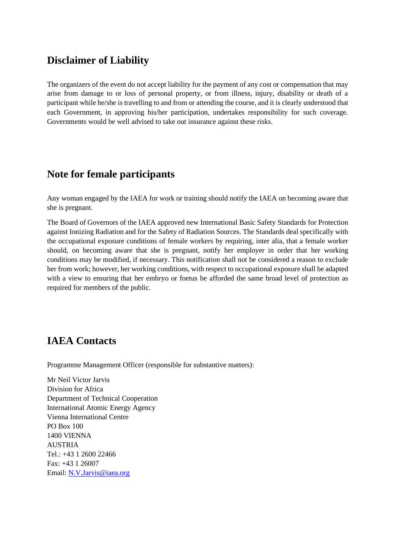#### **Disclaimer of Liability**

The organizers of the event do not accept liability for the payment of any cost or compensation that may arise from damage to or loss of personal property, or from illness, injury, disability or death of a participant while he/she is travelling to and from or attending the course, and it is clearly understood that each Government, in approving his/her participation, undertakes responsibility for such coverage. Governments would be well advised to take out insurance against these risks.

#### **Note for female participants**

Any woman engaged by the IAEA for work or training should notify the IAEA on becoming aware that she is pregnant.

The Board of Governors of the IAEA approved new International Basic Safety Standards for Protection against Ionizing Radiation and for the Safety of Radiation Sources. The Standards deal specifically with the occupational exposure conditions of female workers by requiring, inter alia, that a female worker should, on becoming aware that she is pregnant, notify her employer in order that her working conditions may be modified, if necessary. This notification shall not be considered a reason to exclude her from work; however, her working conditions, with respect to occupational exposure shall be adapted with a view to ensuring that her embryo or foetus be afforded the same broad level of protection as required for members of the public.

# **IAEA Contacts**

Programme Management Officer (responsible for substantive matters):

Mr Neil Victor Jarvis Division for Africa Department of Technical Cooperation International Atomic Energy Agency Vienna International Centre PO Box 100 1400 VIENNA AUSTRIA Tel.: +43 1 2600 22466 Fax: +43 1 26007 Email: N.V.Jarvis@iaea.org